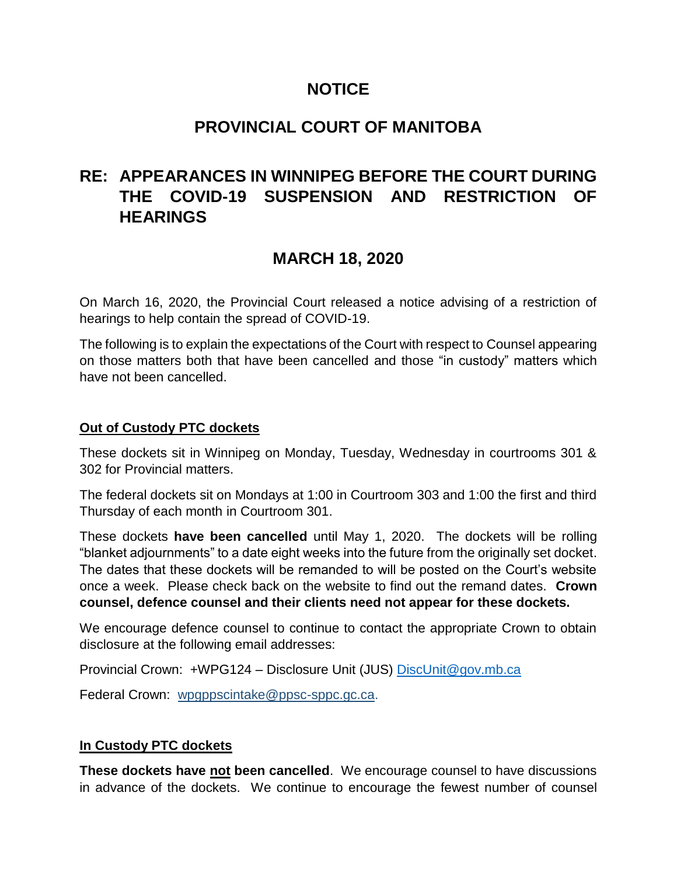## **NOTICE**

## **PROVINCIAL COURT OF MANITOBA**

# **RE: APPEARANCES IN WINNIPEG BEFORE THE COURT DURING THE COVID-19 SUSPENSION AND RESTRICTION OF HEARINGS**

# **MARCH 18, 2020**

On March 16, 2020, the Provincial Court released a notice advising of a restriction of hearings to help contain the spread of COVID-19.

The following is to explain the expectations of the Court with respect to Counsel appearing on those matters both that have been cancelled and those "in custody" matters which have not been cancelled.

#### **Out of Custody PTC dockets**

These dockets sit in Winnipeg on Monday, Tuesday, Wednesday in courtrooms 301 & 302 for Provincial matters.

The federal dockets sit on Mondays at 1:00 in Courtroom 303 and 1:00 the first and third Thursday of each month in Courtroom 301.

These dockets **have been cancelled** until May 1, 2020. The dockets will be rolling "blanket adjournments" to a date eight weeks into the future from the originally set docket. The dates that these dockets will be remanded to will be posted on the Court's website once a week. Please check back on the website to find out the remand dates. **Crown counsel, defence counsel and their clients need not appear for these dockets.**

We encourage defence counsel to continue to contact the appropriate Crown to obtain disclosure at the following email addresses:

Provincial Crown: +WPG124 – Disclosure Unit (JUS) [DiscUnit@gov.mb.ca](mailto:DiscUnit@gov.mb.ca)

Federal Crown: [wpgppscintake@ppsc-sppc.gc.ca.](mailto:wpgppscintake@ppsc-sppc.gc.ca)

## **In Custody PTC dockets**

**These dockets have not been cancelled**. We encourage counsel to have discussions in advance of the dockets. We continue to encourage the fewest number of counsel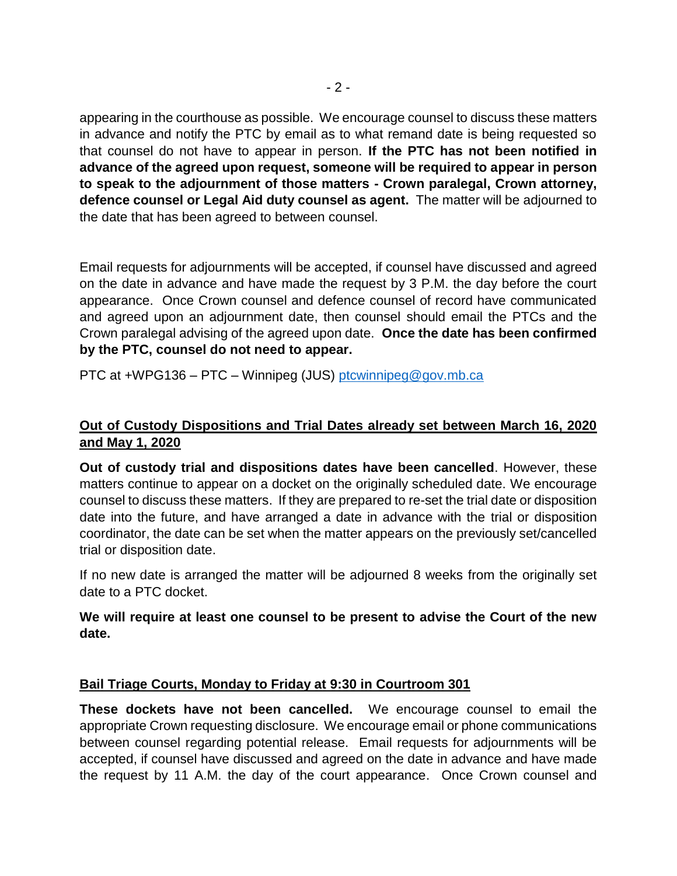appearing in the courthouse as possible. We encourage counsel to discuss these matters in advance and notify the PTC by email as to what remand date is being requested so that counsel do not have to appear in person. **If the PTC has not been notified in advance of the agreed upon request, someone will be required to appear in person to speak to the adjournment of those matters - Crown paralegal, Crown attorney, defence counsel or Legal Aid duty counsel as agent.** The matter will be adjourned to the date that has been agreed to between counsel.

Email requests for adjournments will be accepted, if counsel have discussed and agreed on the date in advance and have made the request by 3 P.M. the day before the court appearance. Once Crown counsel and defence counsel of record have communicated and agreed upon an adjournment date, then counsel should email the PTCs and the Crown paralegal advising of the agreed upon date. **Once the date has been confirmed by the PTC, counsel do not need to appear.**

PTC at +WPG136 – PTC – Winnipeg (JUS) [ptcwinnipeg@gov.mb.ca](mailto:ptcwinnipeg@gov.mb.ca)

## **Out of Custody Dispositions and Trial Dates already set between March 16, 2020 and May 1, 2020**

**Out of custody trial and dispositions dates have been cancelled**. However, these matters continue to appear on a docket on the originally scheduled date. We encourage counsel to discuss these matters. If they are prepared to re-set the trial date or disposition date into the future, and have arranged a date in advance with the trial or disposition coordinator, the date can be set when the matter appears on the previously set/cancelled trial or disposition date.

If no new date is arranged the matter will be adjourned 8 weeks from the originally set date to a PTC docket.

**We will require at least one counsel to be present to advise the Court of the new date.**

#### **Bail Triage Courts, Monday to Friday at 9:30 in Courtroom 301**

**These dockets have not been cancelled.** We encourage counsel to email the appropriate Crown requesting disclosure. We encourage email or phone communications between counsel regarding potential release. Email requests for adjournments will be accepted, if counsel have discussed and agreed on the date in advance and have made the request by 11 A.M. the day of the court appearance. Once Crown counsel and